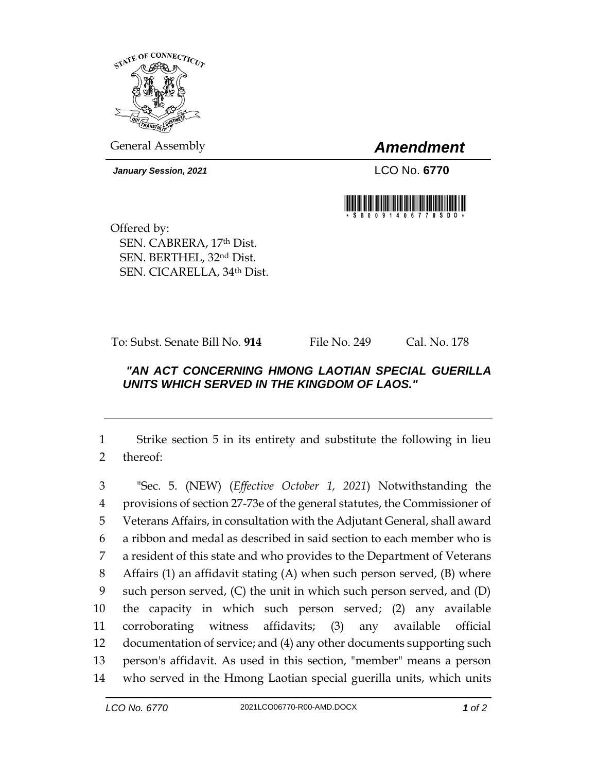

General Assembly *Amendment*

*January Session, 2021* LCO No. **6770**



Offered by: SEN. CABRERA, 17th Dist. SEN. BERTHEL, 32nd Dist. SEN. CICARELLA, 34th Dist.

To: Subst. Senate Bill No. **914** File No. 249 Cal. No. 178

## *"AN ACT CONCERNING HMONG LAOTIAN SPECIAL GUERILLA UNITS WHICH SERVED IN THE KINGDOM OF LAOS."*

1 Strike section 5 in its entirety and substitute the following in lieu 2 thereof:

 "Sec. 5. (NEW) (*Effective October 1, 2021*) Notwithstanding the provisions of section 27-73e of the general statutes, the Commissioner of Veterans Affairs, in consultation with the Adjutant General, shall award a ribbon and medal as described in said section to each member who is a resident of this state and who provides to the Department of Veterans Affairs (1) an affidavit stating (A) when such person served, (B) where such person served, (C) the unit in which such person served, and (D) the capacity in which such person served; (2) any available corroborating witness affidavits; (3) any available official documentation of service; and (4) any other documents supporting such person's affidavit. As used in this section, "member" means a person who served in the Hmong Laotian special guerilla units, which units